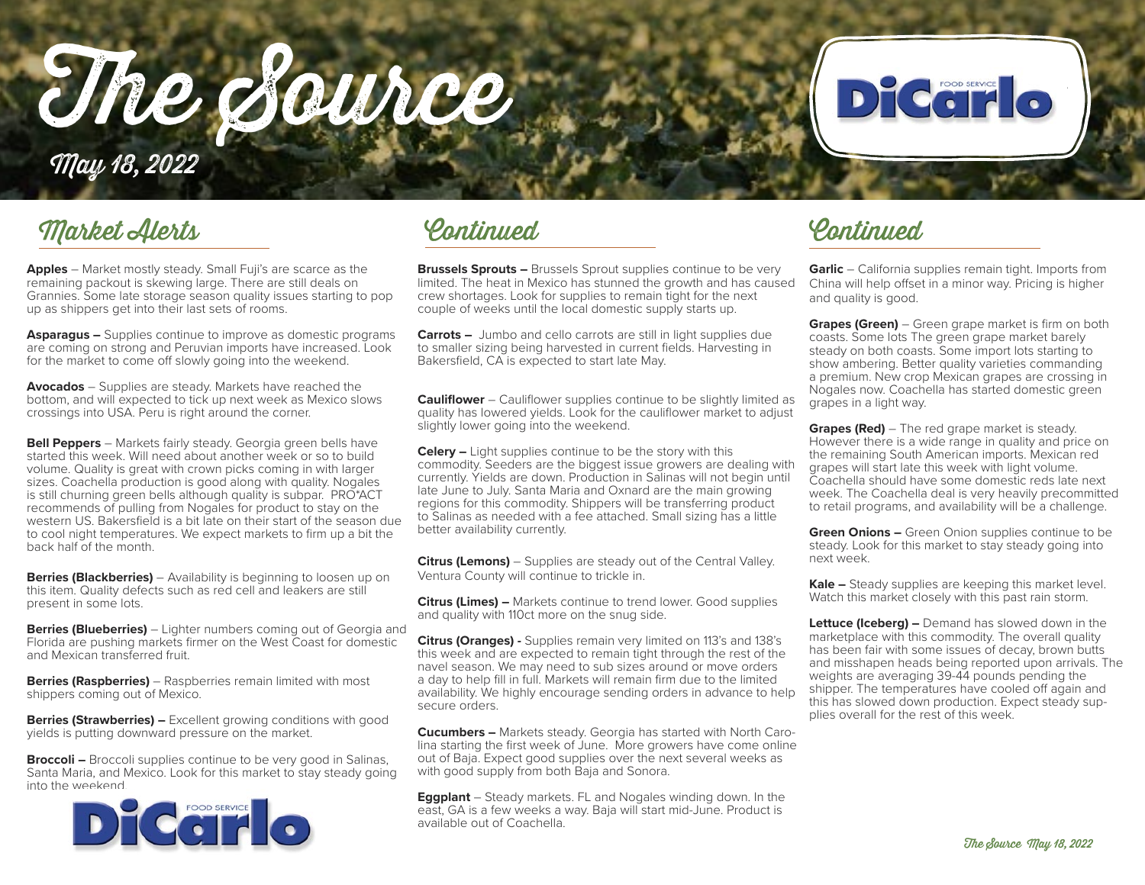The Source



## May 18, 2022

### Market Alerts

**Apples** – Market mostly steady. Small Fuji's are scarce as the remaining packout is skewing large. There are still deals on Grannies. Some late storage season quality issues starting to pop up as shippers get into their last sets of rooms.

**Asparagus –** Supplies continue to improve as domestic programs are coming on strong and Peruvian imports have increased. Look for the market to come off slowly going into the weekend.

**Avocados** – Supplies are steady. Markets have reached the bottom, and will expected to tick up next week as Mexico slows crossings into USA. Peru is right around the corner.

**Bell Peppers** – Markets fairly steady. Georgia green bells have started this week. Will need about another week or so to build volume. Quality is great with crown picks coming in with larger sizes. Coachella production is good along with quality. Nogales is still churning green bells although quality is subpar. PRO\*ACT recommends of pulling from Nogales for product to stay on the western US. Bakersfield is a bit late on their start of the season due to cool night temperatures. We expect markets to firm up a bit the back half of the month.

**Berries (Blackberries)** – Availability is beginning to loosen up on this item. Quality defects such as red cell and leakers are still present in some lots.

**Berries (Blueberries)** – Lighter numbers coming out of Georgia and Florida are pushing markets firmer on the West Coast for domestic and Mexican transferred fruit.

**Berries (Raspberries)** – Raspberries remain limited with most shippers coming out of Mexico.

**Berries (Strawberries) –** Excellent growing conditions with good yields is putting downward pressure on the market.

**Broccoli –** Broccoli supplies continue to be very good in Salinas, Santa Maria, and Mexico. Look for this market to stay steady going into the weekend.



Continued Continued

**Brussels Sprouts –** Brussels Sprout supplies continue to be very limited. The heat in Mexico has stunned the growth and has caused crew shortages. Look for supplies to remain tight for the next couple of weeks until the local domestic supply starts up.

**Carrots –** Jumbo and cello carrots are still in light supplies due to smaller sizing being harvested in current fields. Harvesting in Bakersfield, CA is expected to start late May.

**Cauliflower** – Cauliflower supplies continue to be slightly limited as quality has lowered yields. Look for the cauliflower market to adjust slightly lower going into the weekend.

**Celery –** Light supplies continue to be the story with this commodity. Seeders are the biggest issue growers are dealing with currently. Yields are down. Production in Salinas will not begin until late June to July. Santa Maria and Oxnard are the main growing regions for this commodity. Shippers will be transferring product to Salinas as needed with a fee attached. Small sizing has a little better availability currently.

**Citrus (Lemons)** – Supplies are steady out of the Central Valley. Ventura County will continue to trickle in.

**Citrus (Limes) –** Markets continue to trend lower. Good supplies and quality with 110ct more on the snug side.

**Citrus (Oranges) -** Supplies remain very limited on 113's and 138's this week and are expected to remain tight through the rest of the navel season. We may need to sub sizes around or move orders a day to help fill in full. Markets will remain firm due to the limited availability. We highly encourage sending orders in advance to help secure orders.

**Cucumbers –** Markets steady. Georgia has started with North Carolina starting the first week of June. More growers have come online out of Baja. Expect good supplies over the next several weeks as with good supply from both Baja and Sonora.

**Eggplant** – Steady markets. FL and Nogales winding down. In the east, GA is a few weeks a way. Baja will start mid-June. Product is available out of Coachella.

**Garlic** – California supplies remain tight. Imports from China will help offset in a minor way. Pricing is higher and quality is good.

**Grapes (Green)** – Green grape market is firm on both coasts. Some lots The green grape market barely steady on both coasts. Some import lots starting to show ambering. Better quality varieties commanding a premium. New crop Mexican grapes are crossing in Nogales now. Coachella has started domestic green grapes in a light way.

**Grapes (Red)** – The red grape market is steady. However there is a wide range in quality and price on the remaining South American imports. Mexican red grapes will start late this week with light volume. Coachella should have some domestic reds late next week. The Coachella deal is very heavily precommitted to retail programs, and availability will be a challenge.

**Green Onions –** Green Onion supplies continue to be steady. Look for this market to stay steady going into next week.

**Kale –** Steady supplies are keeping this market level. Watch this market closely with this past rain storm.

**Lettuce (Iceberg) –** Demand has slowed down in the marketplace with this commodity. The overall quality has been fair with some issues of decay, brown butts and misshapen heads being reported upon arrivals. The weights are averaging 39-44 pounds pending the shipper. The temperatures have cooled off again and this has slowed down production. Expect steady supplies overall for the rest of this week.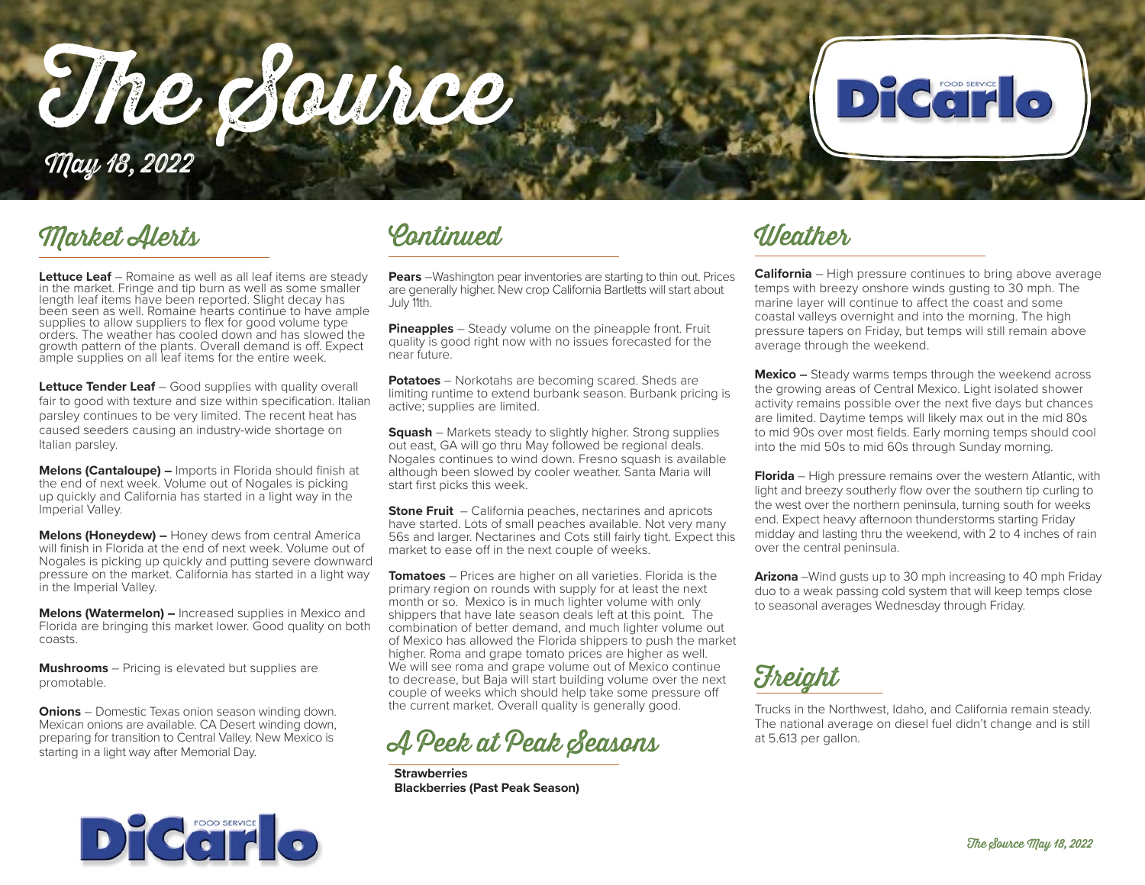The Source May 18, 2022

### Market Alerts Continued Weather

**Lettuce Leaf** – Romaine as well as all leaf items are steady in the market. Fringe and tip burn as well as some smaller length leaf items have been reported. Slight decay has been seen as well. Romaine hearts continue to have ample supplies to allow suppliers to flex for good volume type orders. The weather has cooled down and has slowed the growth pattern of the plants. Overall demand is off. Expect ample supplies on all leaf items for the entire week.

**Lettuce Tender Leaf** – Good supplies with quality overall fair to good with texture and size within specification. Italian parsley continues to be very limited. The recent heat has caused seeders causing an industry-wide shortage on Italian parsley.

**Melons (Cantaloupe) –** Imports in Florida should finish at the end of next week. Volume out of Nogales is picking up quickly and California has started in a light way in the Imperial Valley.

**Melons (Honeydew) –** Honey dews from central America will finish in Florida at the end of next week. Volume out of Nogales is picking up quickly and putting severe downward pressure on the market. California has started in a light way in the Imperial Valley.

**Melons (Watermelon) –** Increased supplies in Mexico and Florida are bringing this market lower. Good quality on both coasts.

**Mushrooms** – Pricing is elevated but supplies are promotable.

**Onions** – Domestic Texas onion season winding down. Mexican onions are available. CA Desert winding down, preparing for transition to Central Valley. New Mexico is starting in a light way after Memorial Day.



**Pears** –Washington pear inventories are starting to thin out. Prices are generally higher. New crop California Bartletts will start about July 11th.

**Pineapples** – Steady volume on the pineapple front. Fruit quality is good right now with no issues forecasted for the near future.

**Potatoes** – Norkotahs are becoming scared. Sheds are limiting runtime to extend burbank season. Burbank pricing is active; supplies are limited.

**Squash** – Markets steady to slightly higher. Strong supplies out east, GA will go thru May followed be regional deals. Nogales continues to wind down. Fresno squash is available although been slowed by cooler weather. Santa Maria will start first picks this week.

**Stone Fruit** – California peaches, nectarines and apricots have started. Lots of small peaches available. Not very many 56s and larger. Nectarines and Cots still fairly tight. Expect this market to ease off in the next couple of weeks.

**Tomatoes** – Prices are higher on all varieties. Florida is the primary region on rounds with supply for at least the next month or so. Mexico is in much lighter volume with only shippers that have late season deals left at this point. The combination of better demand, and much lighter volume out of Mexico has allowed the Florida shippers to push the market higher. Roma and grape tomato prices are higher as well. We will see roma and grape volume out of Mexico continue to decrease, but Baja will start building volume over the next couple of weeks which should help take some pressure off the current market. Overall quality is generally good.



**Strawberries Blackberries (Past Peak Season)**

**California** – High pressure continues to bring above average temps with breezy onshore winds gusting to 30 mph. The marine layer will continue to affect the coast and some coastal valleys overnight and into the morning. The high pressure tapers on Friday, but temps will still remain above average through the weekend.

DICCITO

**Mexico –** Steady warms temps through the weekend across the growing areas of Central Mexico. Light isolated shower activity remains possible over the next five days but chances are limited. Daytime temps will likely max out in the mid 80s to mid 90s over most fields. Early morning temps should cool into the mid 50s to mid 60s through Sunday morning.

**Florida** – High pressure remains over the western Atlantic, with light and breezy southerly flow over the southern tip curling to the west over the northern peninsula, turning south for weeks end. Expect heavy afternoon thunderstorms starting Friday midday and lasting thru the weekend, with 2 to 4 inches of rain over the central peninsula.

**Arizona** –Wind gusts up to 30 mph increasing to 40 mph Friday duo to a weak passing cold system that will keep temps close to seasonal averages Wednesday through Friday.

**Freight** 

Trucks in the Northwest, Idaho, and California remain steady. The national average on diesel fuel didn't change and is still at 5.613 per gallon.